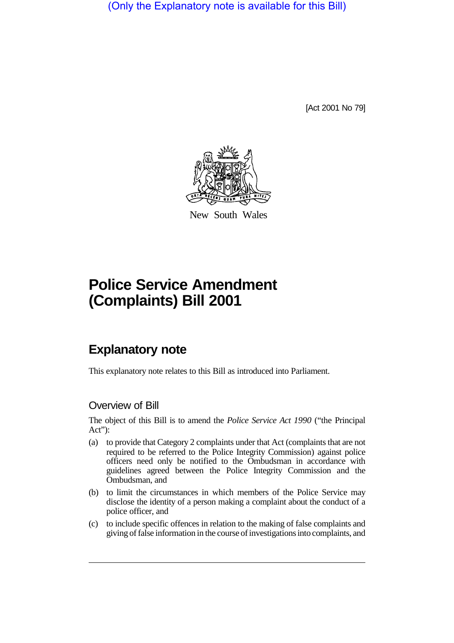(Only the Explanatory note is available for this Bill)

[Act 2001 No 79]



New South Wales

# **Police Service Amendment (Complaints) Bill 2001**

## **Explanatory note**

This explanatory note relates to this Bill as introduced into Parliament.

#### Overview of Bill

The object of this Bill is to amend the *Police Service Act 1990* ("the Principal Act"):

- (a) to provide that Category 2 complaints under that Act (complaints that are not required to be referred to the Police Integrity Commission) against police officers need only be notified to the Ombudsman in accordance with guidelines agreed between the Police Integrity Commission and the Ombudsman, and
- (b) to limit the circumstances in which members of the Police Service may disclose the identity of a person making a complaint about the conduct of a police officer, and
- (c) to include specific offences in relation to the making of false complaints and giving of false information in the course of investigations into complaints, and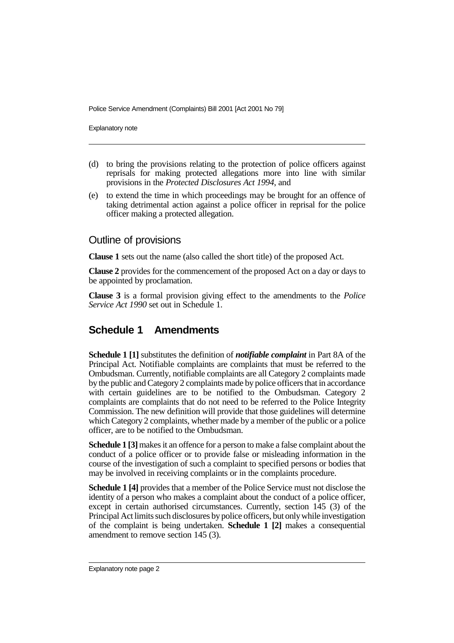Police Service Amendment (Complaints) Bill 2001 [Act 2001 No 79]

Explanatory note

- (d) to bring the provisions relating to the protection of police officers against reprisals for making protected allegations more into line with similar provisions in the *Protected Disclosures Act 1994*, and
- (e) to extend the time in which proceedings may be brought for an offence of taking detrimental action against a police officer in reprisal for the police officer making a protected allegation.

#### Outline of provisions

**Clause 1** sets out the name (also called the short title) of the proposed Act.

**Clause 2** provides for the commencement of the proposed Act on a day or days to be appointed by proclamation.

**Clause 3** is a formal provision giving effect to the amendments to the *Police Service Act 1990* set out in Schedule 1.

### **Schedule 1 Amendments**

**Schedule 1 [1]** substitutes the definition of *notifiable complaint* in Part 8A of the Principal Act. Notifiable complaints are complaints that must be referred to the Ombudsman. Currently, notifiable complaints are all Category 2 complaints made by the public and Category 2 complaints made by police officers that in accordance with certain guidelines are to be notified to the Ombudsman. Category 2 complaints are complaints that do not need to be referred to the Police Integrity Commission. The new definition will provide that those guidelines will determine which Category 2 complaints, whether made by a member of the public or a police officer, are to be notified to the Ombudsman.

**Schedule 1 [3]** makes it an offence for a person to make a false complaint about the conduct of a police officer or to provide false or misleading information in the course of the investigation of such a complaint to specified persons or bodies that may be involved in receiving complaints or in the complaints procedure.

**Schedule 1 [4]** provides that a member of the Police Service must not disclose the identity of a person who makes a complaint about the conduct of a police officer, except in certain authorised circumstances. Currently, section 145 (3) of the Principal Act limits such disclosures by police officers, but only while investigation of the complaint is being undertaken. **Schedule 1 [2]** makes a consequential amendment to remove section 145 (3).